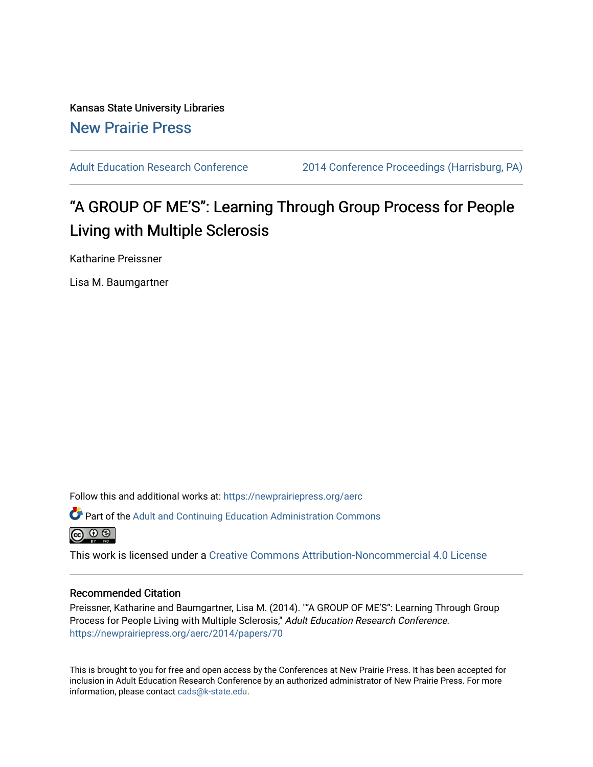Kansas State University Libraries [New Prairie Press](https://newprairiepress.org/) 

[Adult Education Research Conference](https://newprairiepress.org/aerc) [2014 Conference Proceedings \(Harrisburg, PA\)](https://newprairiepress.org/aerc/2014) 

# "A GROUP OF ME'S": Learning Through Group Process for People Living with Multiple Sclerosis

Katharine Preissner

Lisa M. Baumgartner

Follow this and additional works at: [https://newprairiepress.org/aerc](https://newprairiepress.org/aerc?utm_source=newprairiepress.org%2Faerc%2F2014%2Fpapers%2F70&utm_medium=PDF&utm_campaign=PDFCoverPages)

Part of the [Adult and Continuing Education Administration Commons](http://network.bepress.com/hgg/discipline/789?utm_source=newprairiepress.org%2Faerc%2F2014%2Fpapers%2F70&utm_medium=PDF&utm_campaign=PDFCoverPages)



This work is licensed under a [Creative Commons Attribution-Noncommercial 4.0 License](https://creativecommons.org/licenses/by-nc/4.0/)

#### Recommended Citation

Preissner, Katharine and Baumgartner, Lisa M. (2014). ""A GROUP OF ME'S": Learning Through Group Process for People Living with Multiple Sclerosis," Adult Education Research Conference. <https://newprairiepress.org/aerc/2014/papers/70>

This is brought to you for free and open access by the Conferences at New Prairie Press. It has been accepted for inclusion in Adult Education Research Conference by an authorized administrator of New Prairie Press. For more information, please contact [cads@k-state.edu](mailto:cads@k-state.edu).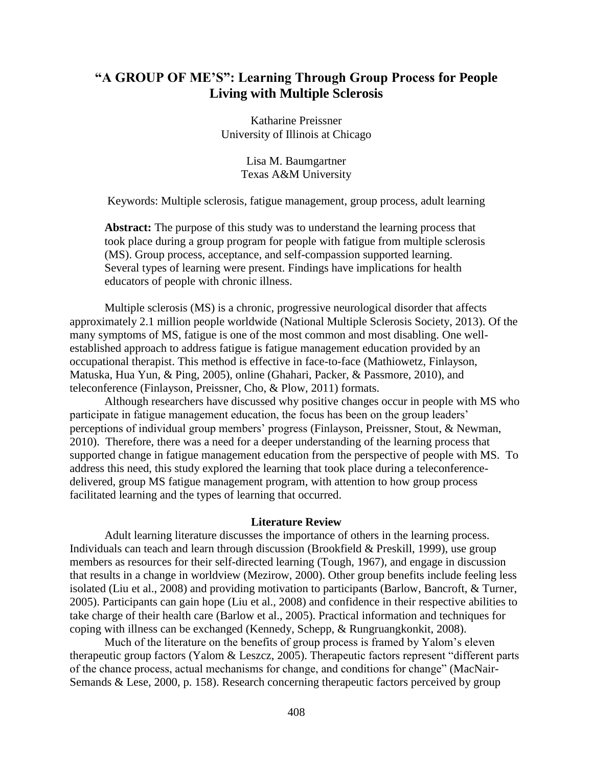## **"A GROUP OF ME'S": Learning Through Group Process for People Living with Multiple Sclerosis**

Katharine Preissner University of Illinois at Chicago

> Lisa M. Baumgartner Texas A&M University

Keywords: Multiple sclerosis, fatigue management, group process, adult learning

**Abstract:** The purpose of this study was to understand the learning process that took place during a group program for people with fatigue from multiple sclerosis (MS). Group process, acceptance, and self-compassion supported learning. Several types of learning were present. Findings have implications for health educators of people with chronic illness.

Multiple sclerosis (MS) is a chronic, progressive neurological disorder that affects approximately 2.1 million people worldwide (National Multiple Sclerosis Society, 2013). Of the many symptoms of MS, fatigue is one of the most common and most disabling. One wellestablished approach to address fatigue is fatigue management education provided by an occupational therapist. This method is effective in face-to-face (Mathiowetz, Finlayson, Matuska, Hua Yun, & Ping, 2005), online (Ghahari, Packer, & Passmore, 2010), and teleconference (Finlayson, Preissner, Cho, & Plow, 2011) formats.

Although researchers have discussed why positive changes occur in people with MS who participate in fatigue management education, the focus has been on the group leaders' perceptions of individual group members' progress (Finlayson, Preissner, Stout, & Newman, 2010). Therefore, there was a need for a deeper understanding of the learning process that supported change in fatigue management education from the perspective of people with MS. To address this need, this study explored the learning that took place during a teleconferencedelivered, group MS fatigue management program, with attention to how group process facilitated learning and the types of learning that occurred.

#### **Literature Review**

Adult learning literature discusses the importance of others in the learning process. Individuals can teach and learn through discussion (Brookfield & Preskill, 1999), use group members as resources for their self-directed learning [\(Tough, 1967\)](#page-6-0), and engage in discussion that results in a change in worldview (Mezirow, 2000). Other group benefits include feeling less isolated (Liu et al., 2008) and providing motivation to participants (Barlow, Bancroft, & Turner, 2005). Participants can gain hope (Liu et al., 2008) and confidence in their respective abilities to take charge of their health care (Barlow et al., 2005). Practical information and techniques for coping with illness can be exchanged (Kennedy, Schepp, & Rungruangkonkit, 2008).

Much of the literature on the benefits of group process is framed by Yalom's eleven therapeutic group factors [\(Yalom & Leszcz, 2005\)](#page-6-1). Therapeutic factors represent "different parts of the chance process, actual mechanisms for change, and conditions for change" (MacNair-Semands & Lese, 2000, p. 158). Research concerning therapeutic factors perceived by group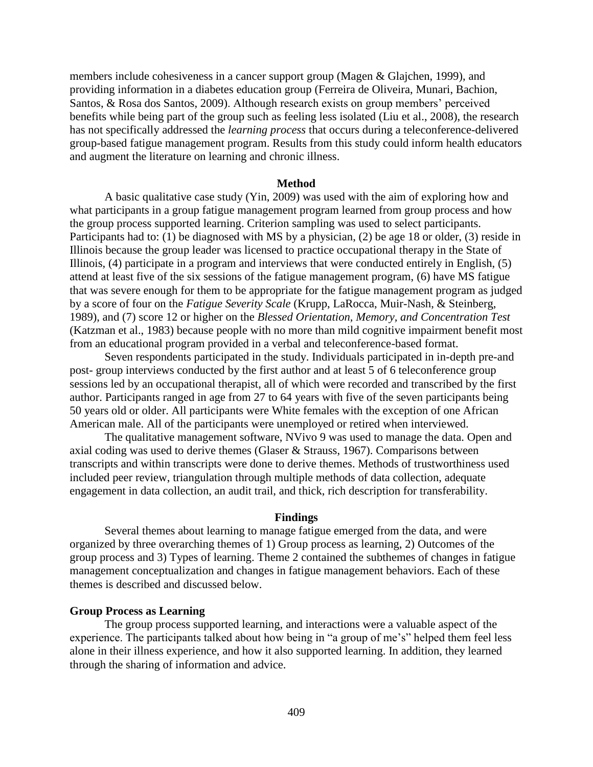members include cohesiveness in a cancer support group (Magen & Glajchen, 1999), and providing information in a diabetes education group (Ferreira de Oliveira, Munari, Bachion, Santos, & Rosa dos Santos, 2009). Although research exists on group members' perceived benefits while being part of the group such as feeling less isolated (Liu et al., 2008), the research has not specifically addressed the *learning process* that occurs during a teleconference-delivered group-based fatigue management program. Results from this study could inform health educators and augment the literature on learning and chronic illness.

#### **Method**

A basic qualitative case study [\(Yin, 2009\)](#page-6-2) was used with the aim of exploring how and what participants in a group fatigue management program learned from group process and how the group process supported learning. Criterion sampling was used to select participants. Participants had to: (1) be diagnosed with MS by a physician, (2) be age 18 or older, (3) reside in Illinois because the group leader was licensed to practice occupational therapy in the State of Illinois, (4) participate in a program and interviews that were conducted entirely in English, (5) attend at least five of the six sessions of the fatigue management program, (6) have MS fatigue that was severe enough for them to be appropriate for the fatigue management program as judged by a score of four on the *Fatigue Severity Scale* (Krupp, LaRocca, Muir-Nash, & Steinberg, 1989), and (7) score 12 or higher on the *Blessed Orientation, Memory, and Concentration Test* (Katzman et al., 1983) because people with no more than mild cognitive impairment benefit most from an educational program provided in a verbal and teleconference-based format.

Seven respondents participated in the study. Individuals participated in in-depth pre-and post- group interviews conducted by the first author and at least 5 of 6 teleconference group sessions led by an occupational therapist, all of which were recorded and transcribed by the first author. Participants ranged in age from 27 to 64 years with five of the seven participants being 50 years old or older. All participants were White females with the exception of one African American male. All of the participants were unemployed or retired when interviewed.

The qualitative management software, NVivo 9 was used to manage the data. Open and axial coding was used to derive themes (Glaser & Strauss, 1967). Comparisons between transcripts and within transcripts were done to derive themes. Methods of trustworthiness used included peer review, triangulation through multiple methods of data collection, adequate engagement in data collection, an audit trail, and thick, rich description for transferability.

#### **Findings**

Several themes about learning to manage fatigue emerged from the data, and were organized by three overarching themes of 1) Group process as learning, 2) Outcomes of the group process and 3) Types of learning. Theme 2 contained the subthemes of changes in fatigue management conceptualization and changes in fatigue management behaviors. Each of these themes is described and discussed below.

#### **Group Process as Learning**

The group process supported learning, and interactions were a valuable aspect of the experience. The participants talked about how being in "a group of me's" helped them feel less alone in their illness experience, and how it also supported learning. In addition, they learned through the sharing of information and advice.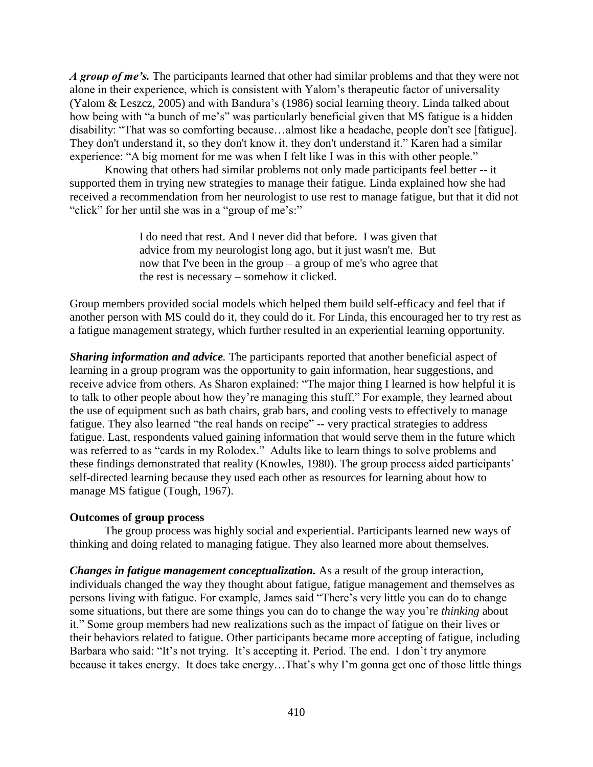*A group of me's.* The participants learned that other had similar problems and that they were not alone in their experience, which is consistent with Yalom's therapeutic factor of universality [\(Yalom & Leszcz, 2005\)](#page-6-1) and with Bandura's (1986) social learning theory. Linda talked about how being with "a bunch of me's" was particularly beneficial given that MS fatigue is a hidden disability: "That was so comforting because…almost like a headache, people don't see [fatigue]. They don't understand it, so they don't know it, they don't understand it." Karen had a similar experience: "A big moment for me was when I felt like I was in this with other people."

Knowing that others had similar problems not only made participants feel better -- it supported them in trying new strategies to manage their fatigue. Linda explained how she had received a recommendation from her neurologist to use rest to manage fatigue, but that it did not "click" for her until she was in a "group of me's:"

> I do need that rest. And I never did that before. I was given that advice from my neurologist long ago, but it just wasn't me. But now that I've been in the group – a group of me's who agree that the rest is necessary – somehow it clicked.

Group members provided social models which helped them build self-efficacy and feel that if another person with MS could do it, they could do it. For Linda, this encouraged her to try rest as a fatigue management strategy, which further resulted in an experiential learning opportunity.

*Sharing information and advice.* The participants reported that another beneficial aspect of learning in a group program was the opportunity to gain information, hear suggestions, and receive advice from others. As Sharon explained: "The major thing I learned is how helpful it is to talk to other people about how they're managing this stuff." For example, they learned about the use of equipment such as bath chairs, grab bars, and cooling vests to effectively to manage fatigue. They also learned "the real hands on recipe" -- very practical strategies to address fatigue. Last, respondents valued gaining information that would serve them in the future which was referred to as "cards in my Rolodex." Adults like to learn things to solve problems and these findings demonstrated that reality (Knowles, 1980). The group process aided participants' self-directed learning because they used each other as resources for learning about how to manage MS fatigue [\(Tough, 1967\)](#page-6-0).

#### **Outcomes of group process**

The group process was highly social and experiential. Participants learned new ways of thinking and doing related to managing fatigue. They also learned more about themselves.

*Changes in fatigue management conceptualization.* As a result of the group interaction, individuals changed the way they thought about fatigue, fatigue management and themselves as persons living with fatigue. For example, James said "There's very little you can do to change some situations, but there are some things you can do to change the way you're *thinking* about it." Some group members had new realizations such as the impact of fatigue on their lives or their behaviors related to fatigue. Other participants became more accepting of fatigue, including Barbara who said: "It's not trying. It's accepting it. Period. The end. I don't try anymore because it takes energy. It does take energy…That's why I'm gonna get one of those little things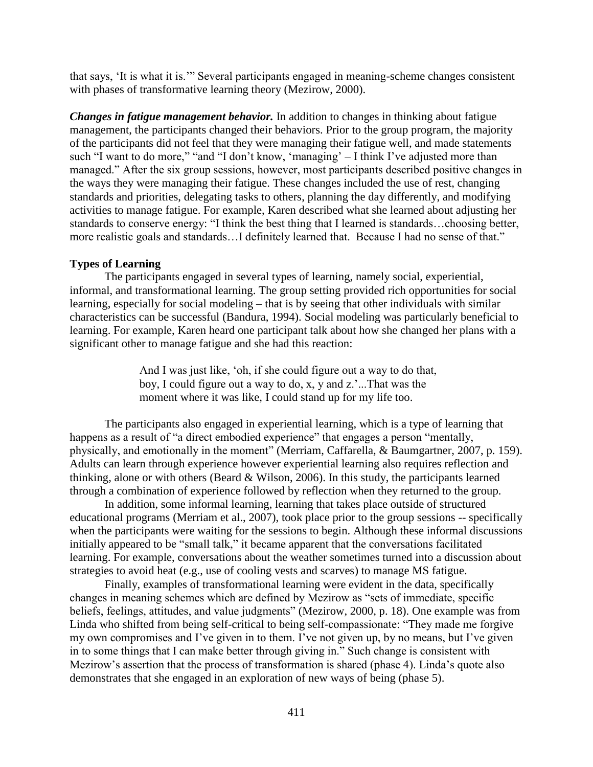that says, 'It is what it is.'" Several participants engaged in meaning-scheme changes consistent with phases of transformative learning theory (Mezirow, 2000).

*Changes in fatigue management behavior.* In addition to changes in thinking about fatigue management, the participants changed their behaviors. Prior to the group program, the majority of the participants did not feel that they were managing their fatigue well, and made statements such "I want to do more," "and "I don't know, 'managing' – I think I've adjusted more than managed." After the six group sessions, however, most participants described positive changes in the ways they were managing their fatigue. These changes included the use of rest, changing standards and priorities, delegating tasks to others, planning the day differently, and modifying activities to manage fatigue. For example, Karen described what she learned about adjusting her standards to conserve energy: "I think the best thing that I learned is standards…choosing better, more realistic goals and standards…I definitely learned that. Because I had no sense of that."

### **Types of Learning**

The participants engaged in several types of learning, namely social, experiential, informal, and transformational learning. The group setting provided rich opportunities for social learning, especially for social modeling – that is by seeing that other individuals with similar characteristics can be successful (Bandura, 1994). Social modeling was particularly beneficial to learning. For example, Karen heard one participant talk about how she changed her plans with a significant other to manage fatigue and she had this reaction:

> And I was just like, 'oh, if she could figure out a way to do that, boy, I could figure out a way to do, x, y and z.'...That was the moment where it was like, I could stand up for my life too.

The participants also engaged in experiential learning, which is a type of learning that happens as a result of "a direct embodied experience" that engages a person "mentally, physically, and emotionally in the moment" (Merriam, Caffarella, & Baumgartner, 2007, p. 159). Adults can learn through experience however experiential learning also requires reflection and thinking, alone or with others (Beard & Wilson, 2006). In this study, the participants learned through a combination of experience followed by reflection when they returned to the group.

In addition, some informal learning, learning that takes place outside of structured educational programs (Merriam et al., 2007), took place prior to the group sessions -- specifically when the participants were waiting for the sessions to begin. Although these informal discussions initially appeared to be "small talk," it became apparent that the conversations facilitated learning. For example, conversations about the weather sometimes turned into a discussion about strategies to avoid heat (e.g., use of cooling vests and scarves) to manage MS fatigue.

Finally, examples of transformational learning were evident in the data, specifically changes in meaning schemes which are defined by Mezirow as "sets of immediate, specific beliefs, feelings, attitudes, and value judgments" (Mezirow, 2000, p. 18). One example was from Linda who shifted from being self-critical to being self-compassionate: "They made me forgive my own compromises and I've given in to them. I've not given up, by no means, but I've given in to some things that I can make better through giving in." Such change is consistent with Mezirow's assertion that the process of transformation is shared (phase 4). Linda's quote also demonstrates that she engaged in an exploration of new ways of being (phase 5).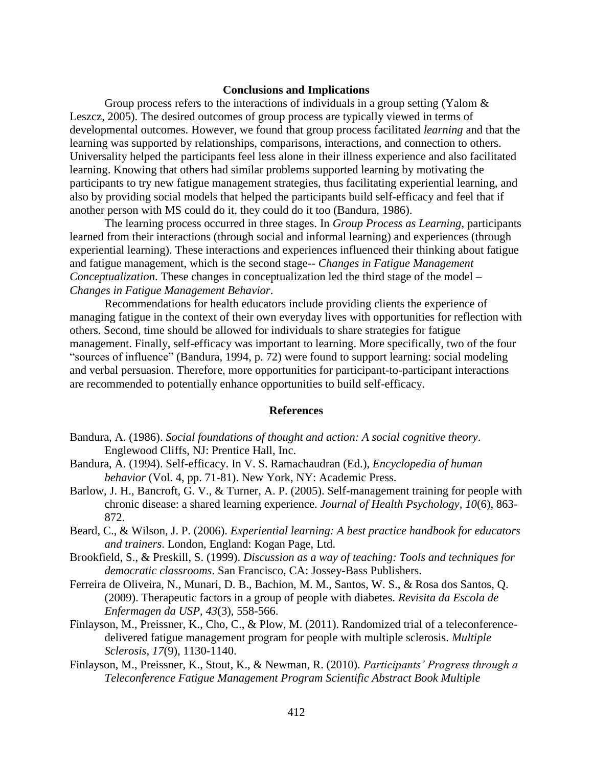#### **Conclusions and Implications**

Group process refers to the interactions of individuals in a group setting [\(Yalom &](#page-6-1)  [Leszcz, 2005\)](#page-6-1). The desired outcomes of group process are typically viewed in terms of developmental outcomes. However, we found that group process facilitated *learning* and that the learning was supported by relationships, comparisons, interactions, and connection to others. Universality helped the participants feel less alone in their illness experience and also facilitated learning. Knowing that others had similar problems supported learning by motivating the participants to try new fatigue management strategies, thus facilitating experiential learning, and also by providing social models that helped the participants build self-efficacy and feel that if another person with MS could do it, they could do it too (Bandura, 1986).

The learning process occurred in three stages. In *Group Process as Learning*, participants learned from their interactions (through social and informal learning) and experiences (through experiential learning). These interactions and experiences influenced their thinking about fatigue and fatigue management, which is the second stage-- *Changes in Fatigue Management Conceptualization*. These changes in conceptualization led the third stage of the model – *Changes in Fatigue Management Behavior*.

Recommendations for health educators include providing clients the experience of managing fatigue in the context of their own everyday lives with opportunities for reflection with others. Second, time should be allowed for individuals to share strategies for fatigue management. Finally, self-efficacy was important to learning. More specifically, two of the four "sources of influence" (Bandura, 1994, p. 72) were found to support learning: social modeling and verbal persuasion. Therefore, more opportunities for participant-to-participant interactions are recommended to potentially enhance opportunities to build self-efficacy.

#### **References**

- Bandura, A. (1986). *Social foundations of thought and action: A social cognitive theory*. Englewood Cliffs, NJ: Prentice Hall, Inc.
- Bandura, A. (1994). Self-efficacy. In V. S. Ramachaudran (Ed.), *Encyclopedia of human behavior* (Vol. 4, pp. 71-81). New York, NY: Academic Press.
- Barlow, J. H., Bancroft, G. V., & Turner, A. P. (2005). Self-management training for people with chronic disease: a shared learning experience. *Journal of Health Psychology, 10*(6), 863- 872.
- Beard, C., & Wilson, J. P. (2006). *Experiential learning: A best practice handbook for educators and trainers*. London, England: Kogan Page, Ltd.
- Brookfield, S., & Preskill, S. (1999). *Discussion as a way of teaching: Tools and techniques for democratic classrooms*. San Francisco, CA: Jossey-Bass Publishers.
- Ferreira de Oliveira, N., Munari, D. B., Bachion, M. M., Santos, W. S., & Rosa dos Santos, Q. (2009). Therapeutic factors in a group of people with diabetes. *Revisita da Escola de Enfermagen da USP, 43*(3), 558-566.
- Finlayson, M., Preissner, K., Cho, C., & Plow, M. (2011). Randomized trial of a teleconferencedelivered fatigue management program for people with multiple sclerosis. *Multiple Sclerosis, 17*(9), 1130-1140.
- Finlayson, M., Preissner, K., Stout, K., & Newman, R. (2010). *Participants' Progress through a Teleconference Fatigue Management Program Scientific Abstract Book Multiple*